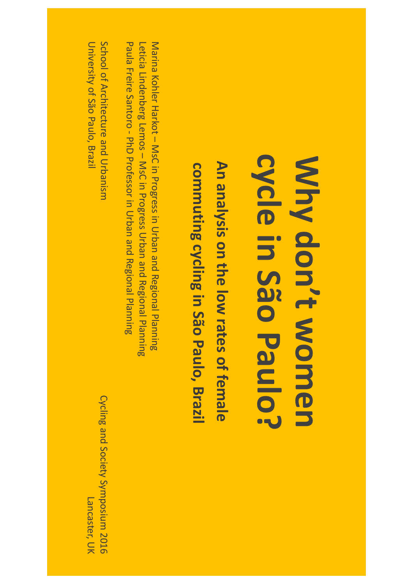#### cycle in São Paulo? **cycle in São Paulo?**  Why don't women **don't women**

An analysis on the low rates of female commuting cycling in São Paulo, Brazil **An analysis on the low rates of female commuting cycling in São Paulo, Brazil**

Marina Kohler Harkot – MsC in Progress in Urban and Regional Planning Leticia Lindenberg Lemos – MsC in Progress Urban and Regional Planning Paula Freire Santoro - PhD Professor in Urban Paula Freire Santoro - PhD Professor in Urban and Regional Planning Regional Planning

School <u>ር</u> Architecture and Urbanism University <u>ር</u> São Paulo, Brazil

Cycling and Society Symposium Lancaster, UK Lancaster, UK2016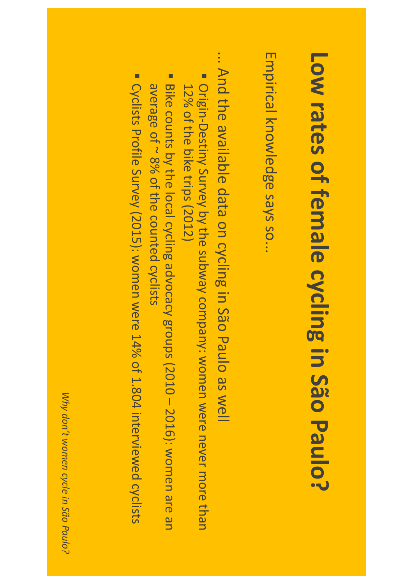## **Low rates of female cycling in São Paulo?**

Empirical knowledge says so...

... And the<br>o available data on cycling in São Paulo as well

- г Origin-Destiny Survey by the<br>o subway company: women **Nere** never more than 12% of the bike<br>Si trips (2012)
- г Bike counts by the local cycling advocacy groups (2010 – 2016): women are an average <u>ር</u> ~ 8% of the<br>o counted cyclists
- г **Cyclists** Profile Survey (2015): women were 14% of 1.804 interviewed cyclists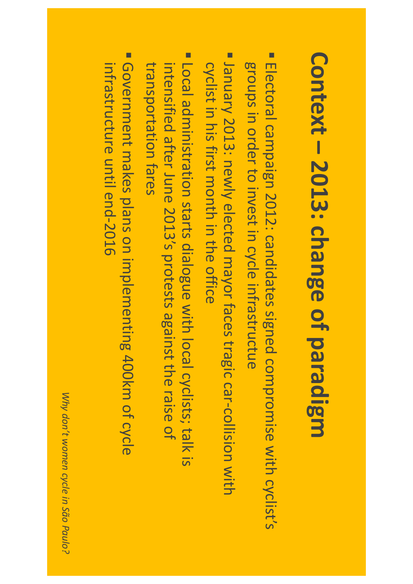### **Context – 2013: change of paradigm**

- $\Box$ Electoral campaign 2012: candidates signed compromise with cyclist's groups in order  $\bf \overline{C}$ invest in cycle infrastructue
- Г January 2013: newly elected mayor faces tragic car-collision with cyclist in his first month in the office
- г Local administration starts dialogue with local cyclists; talk Local administration starts dialogue with local cyclists; talk is intensified after June 2013's protests against the<br>o raise <u>ር</u> transportation transportation fares
- $\Box$ Government makes plans o<br>J implementing 400km of cycle infrastructure intrastructure until end-2016 end-2016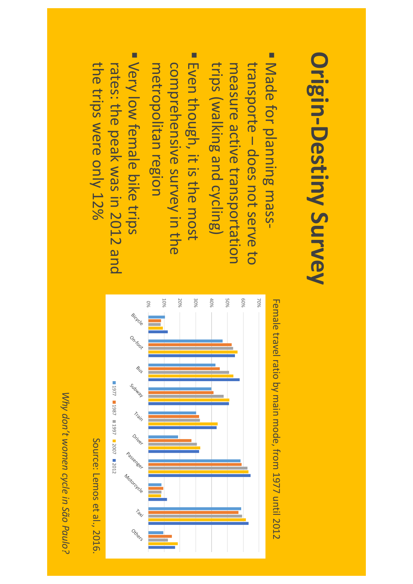# **Origin-Destiny Origin-Destiny Survey**

- Г measure active transportation transporte – does not serve to trips transporte – measure Made (walking for planning does not and<br>D transportation cycling) massserve to
- Г Even though, it is the<br>a most comprehensive survey in the metropolitan metropolitan region
- г Very low<br>Mo female bike trips rates: the peak was in 2012 and the<br>o trips **Nere** only 12%



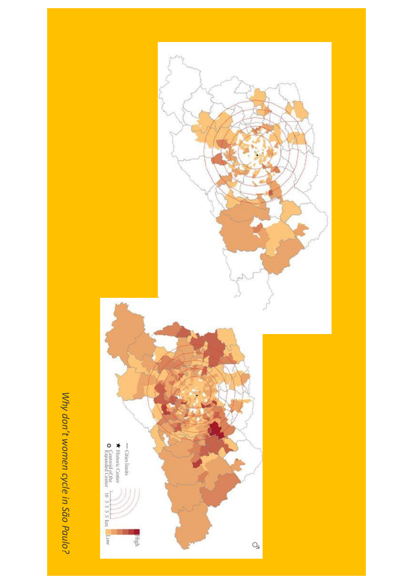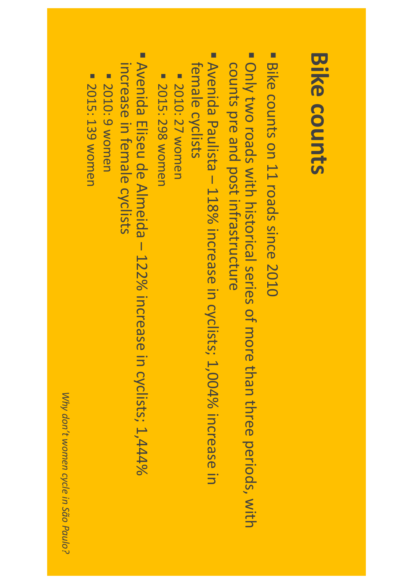#### **Bike counts**

- $\Box$ Bike counts o<br>J 11 roads since 2010
- г Only two roads with historical series of more than three periods, with counts pre<br>P and<br>D post infrastructure
- Г Avenida Paulista – 118% increase in cyclists; 1,004% increase <u>in</u> female cyclists
- 2010: 27 women 2010: 27 women
- **2015: 298 womer** 2015: 298 women
- Avenida Eliseu de Almeida 122% increase in cyclists; 1,444% Avenida Eliseu de Almeida – 122% increase in cyclists; 1,444% increase in female cyclists
- **E 2010: 9 women** 2010: 9 women
- **2015: 139 women** 2015: 139 women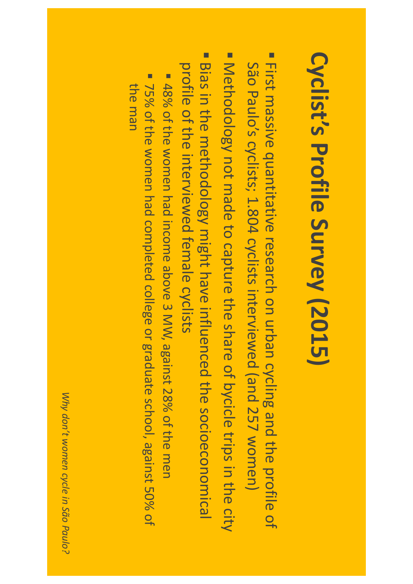## **Cyclist's Profile Survey (2015)**

- Г First massive quantitative research o<br>J urban cycling and<br>D the<br>a profile of São Paulo's cyclists; 1.804 cyclists interviewed (and 257 women)
- Г Methodology not made  $\bf \overline{C}$ capture the share <u>ር</u> bycicle trips in the city
- п Bias in the methodology might have influenced the<br>o socioeconomical profile of the<br>o interviewed female cyclists
- г 48% of the<br>o women had income above 3 MW, against 28% of the<br>o men
- г 75% of the women had completed college or graduate school, against 50% of the<br>O man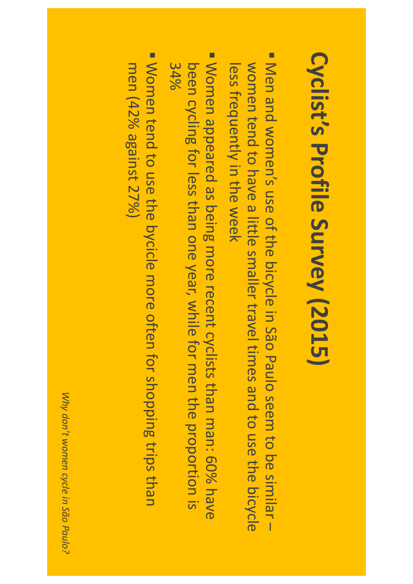## **Cyclist's Profile Survey (2015)**

- Г Men and<br>D women's use of the<br>o bicycle in São Paulo seem  $\bf \overline{C}$ ල<br>ල similar – women tend  $\bf \overline{C}$ have a little smaller travel times and  $\bf \overline{C}$ use the bicycle less frequently in the week
- Г Women appeared as being more recent cyclists than man: 60% have been cycling for less than O<br>D<br>D year, while for men the<br>a proportion <u>..</u><br>-34%
- Г Women tend  $\bf \overline{C}$ use the bycicle more often for shopping trips than men (42% against 27%)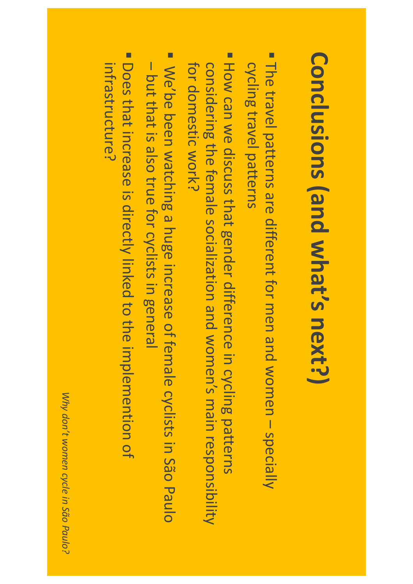## **Conclusions (and what's next?)**

- Г The travel patterns are different for men and women – specially cycling travel patterns
- Г How Can **MG** discuss that gender difference in cycling patterns considering the<br>o female socialization and<br>D women's main responsibility for domestic tor domestic work?
- Г We'be been watching a huge increase <u>ር</u><br>ት female cyclists in São Paulo – pa<br>F that <u>..</u><br>also true for cyclists in general
- $\blacksquare$ Infrastructure? infrastructure?Does that increase <u>..</u> directly linked  $\bf \overline{C}$ the<br>o implemention <u>ር</u>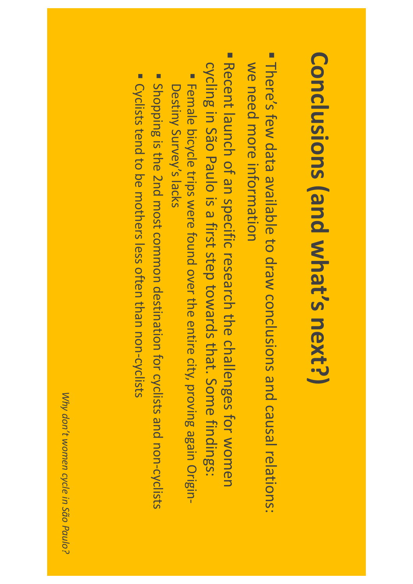## **Conclusions (and what's next?)**

- Г There's few data available  $\bf \overline{C}$ draw conclusions and causal relations: **MG** need more information
- Е Recent launch <u>ር</u> <u>م</u><br>ح specific research the<br>o challenges for women cycling in São Paulo is a first step towards that. Some findings:
- г Female bicycle trips **Nere** found over the entire city, proving again Origin-Destiny Survey's lacks
- г Shopping is the<br>o 2nd most common destination for cyclists and<br>D non-cyclists
- г **Cyclists** tend  $\mathsf{S}$ be mothers less often than non-cyclists